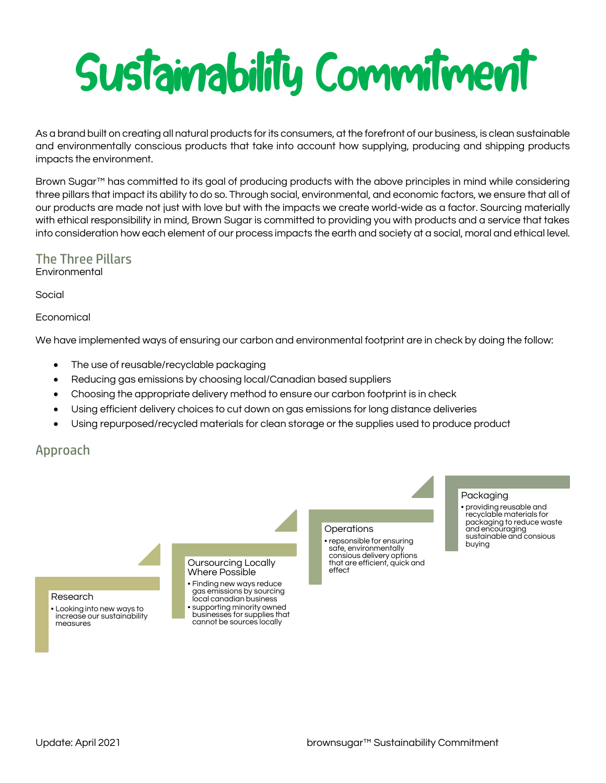# Sustainability Commitment

As a brand built on creating all natural products for its consumers, at the forefront of our business, is clean sustainable and environmentally conscious products that take into account how supplying, producing and shipping products impacts the environment.

Brown Sugar™ has committed to its goal of producing products with the above principles in mind while considering three pillars that impact its ability to do so. Through social, environmental, and economic factors, we ensure that all of our products are made not just with love but with the impacts we create world-wide as a factor. Sourcing materially with ethical responsibility in mind, Brown Sugar is committed to providing you with products and a service that takes into consideration how each element of our process impacts the earth and society at a social, moral and ethical level.

# The Three Pillars **Environmental**

Social

Economical

We have implemented ways of ensuring our carbon and environmental footprint are in check by doing the follow:

- The use of reusable/recyclable packaging
- Reducing gas emissions by choosing local/Canadian based suppliers
- Choosing the appropriate delivery method to ensure our carbon footprint is in check
- Using efficient delivery choices to cut down on gas emissions for long distance deliveries
- Using repurposed/recycled materials for clean storage or the supplies used to produce product

# Approach

### Research

• Looking into new ways to increase our sustainability measures

### Oursourcing Locally Where Possible

• Finding new ways reduce gas emissions by sourcing local canadian business • supporting minority owned businesses for supplies that cannot be sources locally

### **Operations**

• repsonsible for ensuring safe, environmentally consious delivery options that are efficient, quick and effect

## Packaging

• providing reusable and recyclable materials for packaging to reduce waste and encouraging sustainable and consious buying